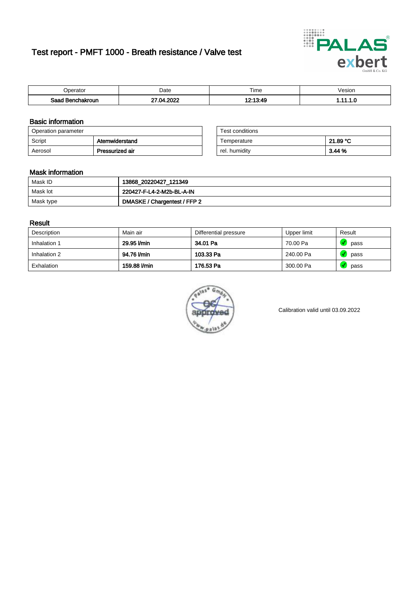# Test report - PMFT 1000 - Breath resistance / Valve test



| )perator                      | Date               | $- \cdot$<br>Time | /esion |
|-------------------------------|--------------------|-------------------|--------|
| Saad<br><b>nchakroun</b><br>. | ാറാറ<br>٦И<br>-117 | 19-19-10          | .      |

### Basic information

| Operation parameter |                 | Test conditions |          |
|---------------------|-----------------|-----------------|----------|
| Script              | Atemwiderstand  | Temperature     | 21.89 °C |
| Aerosol             | Pressurized air | rel. humidity   | 3.44 %   |

| Test conditions |          |
|-----------------|----------|
| Temperature     | 21.89 °C |
| rel. humidity   | 3.44%    |

### Mask information

| Mask ID   | 13868_20220427_121349        |
|-----------|------------------------------|
| Mask lot  | 220427-F-L4-2-M2b-BL-A-IN    |
| Mask type | DMASKE / Chargentest / FFP 2 |

### Result

| Description  | Main air     | Differential pressure | Upper limit | Result |
|--------------|--------------|-----------------------|-------------|--------|
| Inhalation 1 | 29.95 l/min  | 34.01 Pa              | 70.00 Pa    | pass   |
| Inhalation 2 | 94.76 l/min  | 103.33 Pa             | 240.00 Pa   | pass   |
| Exhalation   | 159.88 l/min | 176.53 Pa             | 300.00 Pa   | pass   |



Calibration valid until 03.09.2022